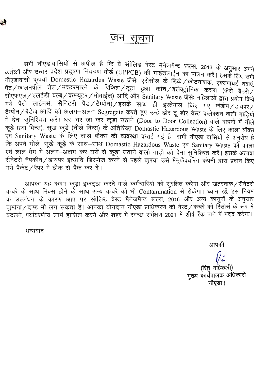

### जन सूचना

सभी नौएडावासियों से अपील है कि वे सॉलिड वेरट मैनेजमैन्ट रूल्स, 2016 के अनुसार अपने कर्तव्यों और उत्तर प्रदेश प्रदूषण नियंत्रण बोर्ड (UPPCB) की गाईडलाईन का पालन करें। इसके लिए सभी नोएडावासी कृपया Domestic Hazardus Waste जैसे: एरोसोल के डिब्बे / कीटनाशक, एक्सपायर्ड दवाएं, ्मर्थाः स्थानि ।<br>पेट / ज्वलनषील तेल / मच्छरमारने के रिफिल / टूटा हुआ कांच / इलेक्ट्रॉनिक कचरा (जैसे बैटरी / त्त्रीएफएल / एलईडी बल्ब / कम्प्यूटर / मोबाईल) आदि और Sanitary Waste जैसेः महिलाओं द्वारा प्रयोग किये गये पैंटी लाईनर्स, सैनिटरी पैड/टैम्पोन)/इसके साथ ही इस्तेमाल किए गए कडोम/डायपर/ टैम्पोन / बैंडेज आदि को अलग-अलग Segregate करते हुए उन्हे डोर टू डोर वेस्ट कलेक्शन वाली गाड़ियों में देना सुनिश्चित करें। घर-घर जा कर कूड़ा उठाने (Door to Door Collection) वाले वाहनों में गीले कड़े (हरा बिन्स), सूख कूड़े (नीले बिन्स) के अंतिरिक्त Domastic Hazardous Waste के लिए काला बॉक्स एवं Sanitary Waste के लिए लाल बॉक्स की व्यवस्था कराई गई है। सभी नौएड़ा वासियों से अनुरोध है कि अपने गीले, सूखे कूड़े के साथ-साथ Domastic Hazardous Waste एवं Sanitary Waste को काला एवं लाल बैग में अलग-अलग कर घरों से कूड़ा उठाने वाली गाड़ी को देना सुनिश्चित करें। इसके अलावा सैनेटरी नैपकीन / डायपर इत्यादि डिस्पोज करने से पहले कृपया उसे मैनुफैक्चॅरिंग कंपनी द्वारा प्रदान किए गये पैकेट / रैपर में ठीक से पैक कर दें।

आपका यह कदम कूड़ा इकट्ठा करने वाले कर्मचारियों को सुरक्षित करेगा और खतरनाक/सैनेटरी कचरे के साथ मिक्स होने के साथ अन्य कचरे को भी Contamination से रोकेगा। ध्यान रहें, इस नियम के उल्लंघन के कारण आप पर सॉलिड वेस्ट मैनेजमैन्ट रूल्स, 2016 और अन्य कानूनों के अनुसार जुर्माना/दण्ड भी लग सकता है। आपका योगदान नौएडा प्राधिकरण को वेस्ट/कचरे को रिसोर्स के रूप में बंदलने, पर्यावरणीय लाभं हासिल करने और शहर में स्वच्छ सर्वेक्षण 2021 में शीर्ष रैंक पाने में मदद करेगा।

धन्यवाद

आपकी

(रितु मांहेश्वरी) मुख्य कार्यपालक अधिकारी नौएडा।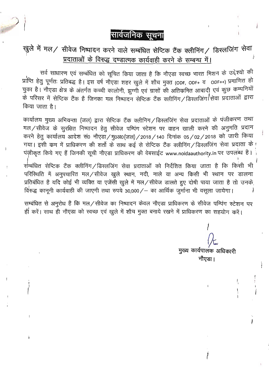सार्वजनिक सूचना

## खुले में मल/ सीवेज निष्पादन करने वाले सम्बंधित सेप्टिक टैंक क्लीनिंग/ डिस्लजिंग सेवा प्रदाताओं के विरुद्ध दण्डात्मक कार्यवाही करने के सम्बन्ध में।

सर्व साधारण एवं सम्बंधित को सूचित किया जाता है कि नौएडा स्वच्छ भारत मिशन के उद्देश्यो की प्राप्ति हेतु पूर्णतः प्रतिबद्ध है। इस वर्ष नौएडा शहर खुले में शौच मुक्त (ODF, ODF+ व ODF++) प्रमाणित हो चुका है। नौएडा क्षेत्र के अंतर्गत कच्ची कालोनी, झुग्गी एवं ग्रासों की अतिक्रमित आबादी एवं कुछ कम्पनियों के परिसर में सेप्टिक टैंक है जिनका मल निष्पादन सेप्टिक टैंक क्लीनिंग/डिस्लजिंग/सेवा प्रदाताओं द्वारा किया जाता है।

कार्यालय मुख्य अभियन्ता (जल) द्वारा सेप्टिक टैंक क्लीनिग / डिस्लजिंग सेवा प्रदाताओं के पंजीकरण तथा मल/सीवेज के सुरक्षित निष्पादन हेतु सीवेज पम्पिंग स्टेशन पर वाहन खाली करने की अनुमति प्रदान करने हेतु कार्यालय आदेश सं0 नौएडा/मु०अ०(जल)/2018/140 दिनांक 05/02/2018 को जारी किया गया। इसी कम में प्राधिकरण की शर्तो के साथ कई से सेप्टिक टैंक क्लीनिंग / डिस्लजिंग सेवा प्रदाता के ! पंज़ीकृत किये गए हैं जिनकी सूची नौएडा प्राधिकरण की वेबसाईट www.noidaauthority.in पर उपलब्ध है।

सम्बंधित सेप्टिक टैंक क्लीनिंग/डिस्लजिंग सेवा प्रदाताओं को निर्देशित किया जाता है कि किसी भी परिस्थिति में अनुपचारित मल/सीवेज खुले स्थान, नदी, नाले या अन्य किसी भी स्थान पर डालना प्रतिबंधित है यदि कोई भी व्यक्ति या एजेंसी खुले में मल/सीवेज डालते हुए दोषी पाया जाता है तो उनके विरुद्ध काननी कार्यवाही की जाएगी तथा रुपये 30,000/– का आर्थिक जुर्माना भी वसला जायेगा।

सम्बंधित से अनुरोध है कि मल/सीवेज का निष्पादन केवल नौएड़ा प्राधिकरण के सीवेज पम्पिंग स्टेशन पर ही करें। साथ ही नौएड़ा को स्वच्छ एवं खुले में शौच मुक्त बनाये रखने में प्राधिकरण का सहयोग करें।

मुख्य कार्यपालक अधिकारी नौएडा।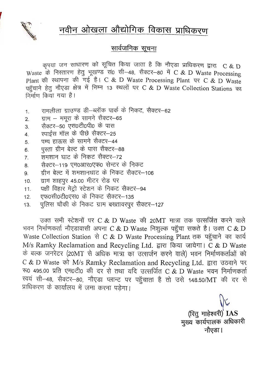# नवीन ओखला औद्योगिक विकास प्राधिकरण



#### सार्वज<u>निक सूचना</u>

कपया जन साधारण को सूचित किया जाता है कि नौएडा प्राधिकरण द्वारा C & D Waste के निस्तारण हेतु भूखण्ड सं0 सी-48, सैक्टर-80 में C & D Waste Processing Plant की स्थापना की गई है। C & D Waste Processing Plant पर C & D Waste पहुँचाने हेतू नौएड़ा क्षेत्र में निम्न 13 स्थलों पर C & D Waste Collection Stations का निर्माण किया गया है।

- रामलीला ग्राउण्ड डी–ब्लॉक पार्क के निकट, सैक्टर–62  $\mathbf{1}$ .
- ग्राम ममरा के सामने सैक्टर-65  $2.$
- सैक्टर-50 एस0टी0पी0 के पास  $3<sub>l</sub>$
- रपाईस मॉल के पीछे सैक्टर-25  $\overline{4}$ .
- पम्प हाऊस के सामने सैक्टर-44 5.
- पस्ता ग्रीन बेल्ट के पास सैक्टर-88 6.
- ज़मशान घाट के निकट सैक्टर-72  $\overline{7}$ .
- सैक्टर-119 एम0आर0एफ0 सेन्टर के निकट 8.
- ग्रीन बेल्ट में शमशानघाट के निकट सैक्टर–106 9
- ग्राम शाहपर 45.00 मीटर रोड पर  $10.$
- पक्षी विहार मेट्रो स्टेशन के निकट सैक्टर-94  $11.$
- एफ0सी0टी0एस0 के निकट सैक्टर-135  $12.$
- पुलिस चौकी के निकट ग्राम बख्तावरपुर सैक्टर-127  $13.$

उक्त सभी स्टेशनों पर C & D Waste की 20MT मात्रा तक उत्सर्जित करने वाले भवन निर्माणकर्ता नौएडावासी अपना C & D Waste निशुल्क पहुँचा सकते है। उक्त C & D Waste Collection Station से C & D Waste Processing Plant तक पहुँचाने का कार्य M/s Ramky Reclamation and Recycling Ltd. द्वारा किया जायेगा। C & D Waste के बल्क जनरेटर (20MT से अधिक मात्रा का उत्सर्जन करने वाले) भवन निर्माणकर्ताओं को C & D Waste को M/s Ramky Reclamation and Recycling Ltd. द्वारा उठवाने पर रू0 495.00 प्रति एम0टी0 की दर से तथा यदि उत्सर्जित C & D Waste भवन निर्माणकर्ता खयं सी-48, सैक्टर-80, नौएडा प्लान्ट पर पहूँचाता है तो उसे 148.50/MT की दर से प्राधिकरण के कार्यालय में जमा करना पड़ेगा।

> (रितु माहेश्वरी) IAS मुख्य कार्यपालक अधिकारी नौएडा।